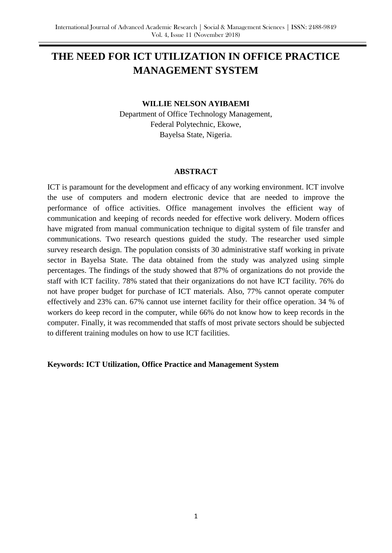# **THE NEED FOR ICT UTILIZATION IN OFFICE PRACTICE MANAGEMENT SYSTEM**

#### **WILLIE NELSON AYIBAEMI**

Department of Office Technology Management, Federal Polytechnic, Ekowe, Bayelsa State, Nigeria.

#### **ABSTRACT**

ICT is paramount for the development and efficacy of any working environment. ICT involve the use of computers and modern electronic device that are needed to improve the performance of office activities. Office management involves the efficient way of communication and keeping of records needed for effective work delivery. Modern offices have migrated from manual communication technique to digital system of file transfer and communications. Two research questions guided the study. The researcher used simple survey research design. The population consists of 30 administrative staff working in private sector in Bayelsa State. The data obtained from the study was analyzed using simple percentages. The findings of the study showed that 87% of organizations do not provide the staff with ICT facility. 78% stated that their organizations do not have ICT facility. 76% do not have proper budget for purchase of ICT materials. Also, 77% cannot operate computer effectively and 23% can. 67% cannot use internet facility for their office operation. 34 % of workers do keep record in the computer, while 66% do not know how to keep records in the computer. Finally, it was recommended that staffs of most private sectors should be subjected to different training modules on how to use ICT facilities.

### **Keywords: ICT Utilization, Office Practice and Management System**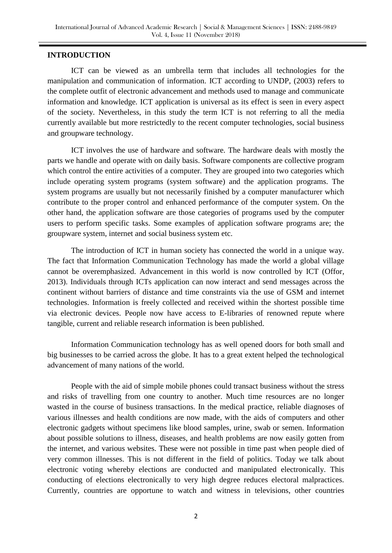## **INTRODUCTION**

ICT can be viewed as an umbrella term that includes all technologies for the manipulation and communication of information. ICT according to UNDP, (2003) refers to the complete outfit of electronic advancement and methods used to manage and communicate information and knowledge. ICT application is universal as its effect is seen in every aspect of the society. Nevertheless, in this study the term ICT is not referring to all the media currently available but more restrictedly to the recent computer technologies, social business and groupware technology.

ICT involves the use of hardware and software. The hardware deals with mostly the parts we handle and operate with on daily basis. Software components are collective program which control the entire activities of a computer. They are grouped into two categories which include operating system programs (system software) and the application programs. The system programs are usually but not necessarily finished by a computer manufacturer which contribute to the proper control and enhanced performance of the computer system. On the other hand, the application software are those categories of programs used by the computer users to perform specific tasks. Some examples of application software programs are; the groupware system, internet and social business system etc.

The introduction of ICT in human society has connected the world in a unique way. The fact that Information Communication Technology has made the world a global village cannot be overemphasized. Advancement in this world is now controlled by ICT (Offor, 2013). Individuals through ICTs application can now interact and send messages across the continent without barriers of distance and time constraints via the use of GSM and internet technologies. Information is freely collected and received within the shortest possible time via electronic devices. People now have access to E-libraries of renowned repute where tangible, current and reliable research information is been published.

Information Communication technology has as well opened doors for both small and big businesses to be carried across the globe. It has to a great extent helped the technological advancement of many nations of the world.

People with the aid of simple mobile phones could transact business without the stress and risks of travelling from one country to another. Much time resources are no longer wasted in the course of business transactions. In the medical practice, reliable diagnoses of various illnesses and health conditions are now made, with the aids of computers and other electronic gadgets without specimens like blood samples, urine, swab or semen. Information about possible solutions to illness, diseases, and health problems are now easily gotten from the internet, and various websites. These were not possible in time past when people died of very common illnesses. This is not different in the field of politics. Today we talk about electronic voting whereby elections are conducted and manipulated electronically. This conducting of elections electronically to very high degree reduces electoral malpractices. Currently, countries are opportune to watch and witness in televisions, other countries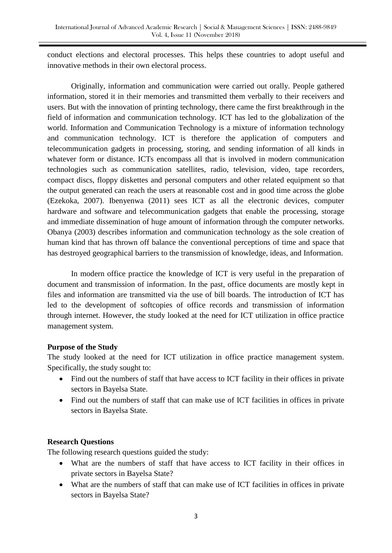conduct elections and electoral processes. This helps these countries to adopt useful and innovative methods in their own electoral process.

Originally, information and communication were carried out orally. People gathered information, stored it in their memories and transmitted them verbally to their receivers and users. But with the innovation of printing technology, there came the first breakthrough in the field of information and communication technology. ICT has led to the globalization of the world. Information and Communication Technology is a mixture of information technology and communication technology. ICT is therefore the application of computers and telecommunication gadgets in processing, storing, and sending information of all kinds in whatever form or distance. ICTs encompass all that is involved in modern communication technologies such as communication satellites, radio, television, video, tape recorders, compact discs, floppy diskettes and personal computers and other related equipment so that the output generated can reach the users at reasonable cost and in good time across the globe (Ezekoka, 2007). Ibenyenwa (2011) sees ICT as all the electronic devices, computer hardware and software and telecommunication gadgets that enable the processing, storage and immediate dissemination of huge amount of information through the computer networks. Obanya (2003) describes information and communication technology as the sole creation of human kind that has thrown off balance the conventional perceptions of time and space that has destroyed geographical barriers to the transmission of knowledge, ideas, and Information.

In modern office practice the knowledge of ICT is very useful in the preparation of document and transmission of information. In the past, office documents are mostly kept in files and information are transmitted via the use of bill boards. The introduction of ICT has led to the development of softcopies of office records and transmission of information through internet. However, the study looked at the need for ICT utilization in office practice management system.

### **Purpose of the Study**

The study looked at the need for ICT utilization in office practice management system. Specifically, the study sought to:

- Find out the numbers of staff that have access to ICT facility in their offices in private sectors in Bayelsa State.
- Find out the numbers of staff that can make use of ICT facilities in offices in private sectors in Bayelsa State.

# **Research Questions**

The following research questions guided the study:

- What are the numbers of staff that have access to ICT facility in their offices in private sectors in Bayelsa State?
- What are the numbers of staff that can make use of ICT facilities in offices in private sectors in Bayelsa State?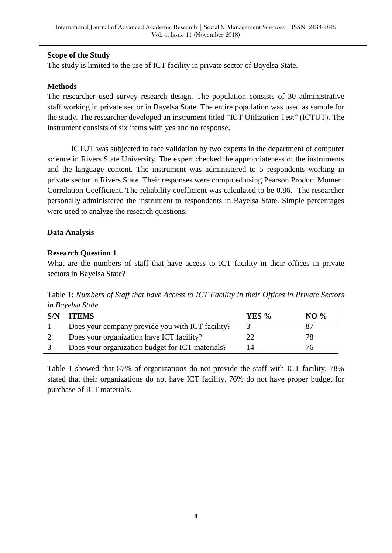### **Scope of the Study**

The study is limited to the use of ICT facility in private sector of Bayelsa State.

#### **Methods**

The researcher used survey research design. The population consists of 30 administrative staff working in private sector in Bayelsa State. The entire population was used as sample for the study. The researcher developed an instrument titled "ICT Utilization Test" (ICTUT). The instrument consists of six items with yes and no response.

ICTUT was subjected to face validation by two experts in the department of computer science in Rivers State University. The expert checked the appropriateness of the instruments and the language content. The instrument was administered to 5 respondents working in private sector in Rivers State. Their responses were computed using Pearson Product Moment Correlation Coefficient. The reliability coefficient was calculated to be 0.86. The researcher personally administered the instrument to respondents in Bayelsa State. Simple percentages were used to analyze the research questions.

#### **Data Analysis**

#### **Research Question 1**

What are the numbers of staff that have access to ICT facility in their offices in private sectors in Bayelsa State?

Table 1: *Numbers of Staff that have Access to ICT Facility in their Offices in Private Sectors in Bayelsa State.*

| S/N | <b>ITEMS</b>                                     | <b>YES</b> % | NO $\%$ |
|-----|--------------------------------------------------|--------------|---------|
|     | Does your company provide you with ICT facility? |              |         |
|     | Does your organization have ICT facility?        |              | 78.     |
|     | Does your organization budget for ICT materials? | 14           | 'n      |

Table 1 showed that 87% of organizations do not provide the staff with ICT facility. 78% stated that their organizations do not have ICT facility. 76% do not have proper budget for purchase of ICT materials.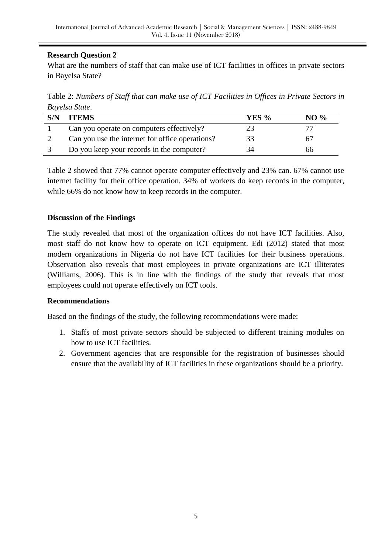# **Research Question 2**

What are the numbers of staff that can make use of ICT facilities in offices in private sectors in Bayelsa State?

Table 2: *Numbers of Staff that can make use of ICT Facilities in Offices in Private Sectors in Bayelsa State*.

| S/N | <b>ITEMS</b>                                    | <b>YES</b> % | $NO\%$ |
|-----|-------------------------------------------------|--------------|--------|
|     | Can you operate on computers effectively?       |              |        |
|     | Can you use the internet for office operations? | 33           |        |
|     | Do you keep your records in the computer?       | 34           | 66     |

Table 2 showed that 77% cannot operate computer effectively and 23% can. 67% cannot use internet facility for their office operation. 34% of workers do keep records in the computer, while 66% do not know how to keep records in the computer.

# **Discussion of the Findings**

The study revealed that most of the organization offices do not have ICT facilities. Also, most staff do not know how to operate on ICT equipment. Edi (2012) stated that most modern organizations in Nigeria do not have ICT facilities for their business operations. Observation also reveals that most employees in private organizations are ICT illiterates (Williams, 2006). This is in line with the findings of the study that reveals that most employees could not operate effectively on ICT tools.

### **Recommendations**

Based on the findings of the study, the following recommendations were made:

- 1. Staffs of most private sectors should be subjected to different training modules on how to use ICT facilities.
- 2. Government agencies that are responsible for the registration of businesses should ensure that the availability of ICT facilities in these organizations should be a priority.